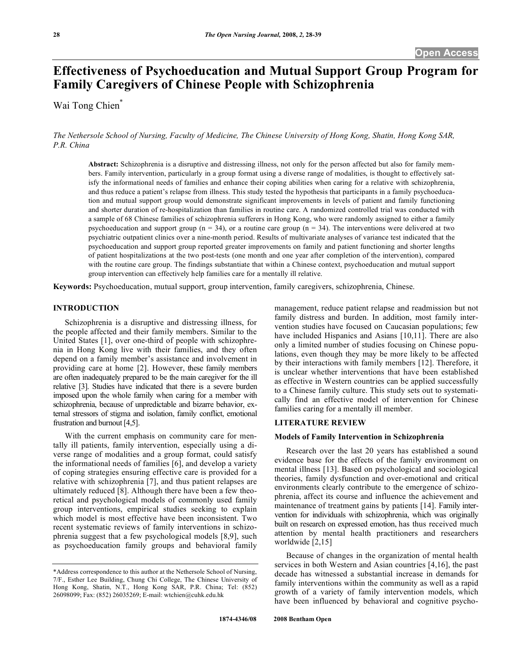# **Effectiveness of Psychoeducation and Mutual Support Group Program for Family Caregivers of Chinese People with Schizophrenia**

Wai Tong Chien\*

*The Nethersole School of Nursing, Faculty of Medicine, The Chinese University of Hong Kong, Shatin, Hong Kong SAR, P.R. China* 

**Abstract:** Schizophrenia is a disruptive and distressing illness, not only for the person affected but also for family members. Family intervention, particularly in a group format using a diverse range of modalities, is thought to effectively satisfy the informational needs of families and enhance their coping abilities when caring for a relative with schizophrenia, and thus reduce a patient's relapse from illness. This study tested the hypothesis that participants in a family psychoeducation and mutual support group would demonstrate significant improvements in levels of patient and family functioning and shorter duration of re-hospitalization than families in routine care. A randomized controlled trial was conducted with a sample of 68 Chinese families of schizophrenia sufferers in Hong Kong, who were randomly assigned to either a family psychoeducation and support group ( $n = 34$ ), or a routine care group ( $n = 34$ ). The interventions were delivered at two psychiatric outpatient clinics over a nine-month period. Results of multivariate analyses of variance test indicated that the psychoeducation and support group reported greater improvements on family and patient functioning and shorter lengths of patient hospitalizations at the two post-tests (one month and one year after completion of the intervention), compared with the routine care group. The findings substantiate that within a Chinese context, psychoeducation and mutual support group intervention can effectively help families care for a mentally ill relative.

**Keywords:** Psychoeducation, mutual support, group intervention, family caregivers, schizophrenia, Chinese.

# **INTRODUCTION**

 Schizophrenia is a disruptive and distressing illness, for the people affected and their family members. Similar to the United States [1], over one-third of people with schizophrenia in Hong Kong live with their families, and they often depend on a family member's assistance and involvement in providing care at home [2]. However, these family members are often inadequately prepared to be the main caregiver for the ill relative [3]. Studies have indicated that there is a severe burden imposed upon the whole family when caring for a member with schizophrenia, because of unpredictable and bizarre behavior, external stressors of stigma and isolation, family conflict, emotional frustration and burnout [4,5].

 With the current emphasis on community care for mentally ill patients, family intervention, especially using a diverse range of modalities and a group format, could satisfy the informational needs of families [6], and develop a variety of coping strategies ensuring effective care is provided for a relative with schizophrenia [7], and thus patient relapses are ultimately reduced [8]. Although there have been a few theoretical and psychological models of commonly used family group interventions, empirical studies seeking to explain which model is most effective have been inconsistent. Two recent systematic reviews of family interventions in schizophrenia suggest that a few psychological models [8,9], such as psychoeducation family groups and behavioral family

management, reduce patient relapse and readmission but not family distress and burden. In addition, most family intervention studies have focused on Caucasian populations; few have included Hispanics and Asians [10,11]. There are also only a limited number of studies focusing on Chinese populations, even though they may be more likely to be affected by their interactions with family members [12]. Therefore, it is unclear whether interventions that have been established as effective in Western countries can be applied successfully to a Chinese family culture. This study sets out to systematically find an effective model of intervention for Chinese families caring for a mentally ill member.

# **LITERATURE REVIEW**

#### **Models of Family Intervention in Schizophrenia**

 Research over the last 20 years has established a sound evidence base for the effects of the family environment on mental illness [13]. Based on psychological and sociological theories, family dysfunction and over-emotional and critical environments clearly contribute to the emergence of schizophrenia, affect its course and influence the achievement and maintenance of treatment gains by patients [14]. Family intervention for individuals with schizophrenia, which was originally built on research on expressed emotion, has thus received much attention by mental health practitioners and researchers worldwide [2,15]

 Because of changes in the organization of mental health services in both Western and Asian countries [4,16], the past decade has witnessed a substantial increase in demands for family interventions within the community as well as a rapid growth of a variety of family intervention models, which have been influenced by behavioral and cognitive psycho-

<sup>\*</sup>Address correspondence to this author at the Nethersole School of Nursing, 7/F., Esther Lee Building, Chung Chi College, The Chinese University of Hong Kong, Shatin, N.T., Hong Kong SAR, P.R. China; Tel: (852) 26098099; Fax: (852) 26035269; E-mail: wtchien@cuhk.edu.hk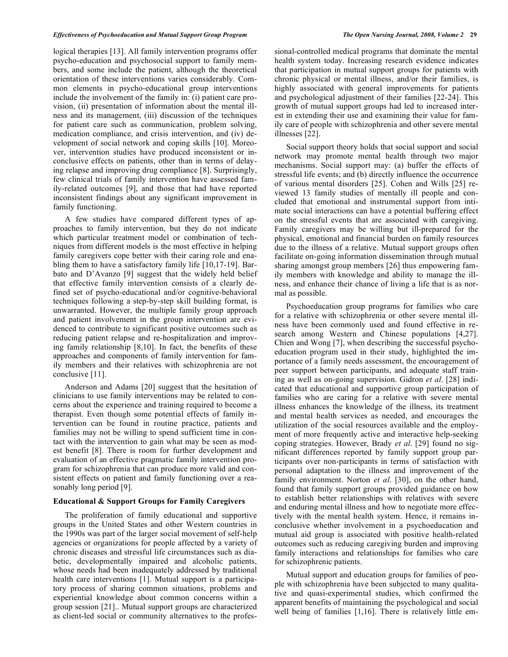#### *Effectiveness of Psychoeducation and Mutual Support Group Program The Open Nursing Journal, 2008, Volume 2* **29**

logical therapies [13]. All family intervention programs offer psycho-education and psychosocial support to family members, and some include the patient, although the theoretical orientation of these interventions varies considerably. Common elements in psycho-educational group interventions include the involvement of the family in: (i) patient care provision, (ii) presentation of information about the mental illness and its management, (iii) discussion of the techniques for patient care such as communication, problem solving, medication compliance, and crisis intervention, and (iv) development of social network and coping skills [10]. Moreover, intervention studies have produced inconsistent or inconclusive effects on patients, other than in terms of delaying relapse and improving drug compliance [8]. Surprisingly, few clinical trials of family intervention have assessed family-related outcomes [9], and those that had have reported inconsistent findings about any significant improvement in family functioning.

 A few studies have compared different types of approaches to family intervention, but they do not indicate which particular treatment model or combination of techniques from different models is the most effective in helping family caregivers cope better with their caring role and enabling them to have a satisfactory family life [10,17-19]. Barbato and D'Avanzo [9] suggest that the widely held belief that effective family intervention consists of a clearly defined set of psycho-educational and/or cognitive-behavioral techniques following a step-by-step skill building format, is unwarranted. However, the multiple family group approach and patient involvement in the group intervention are evidenced to contribute to significant positive outcomes such as reducing patient relapse and re-hospitalization and improving family relationship [8,10]. In fact, the benefits of these approaches and components of family intervention for family members and their relatives with schizophrenia are not conclusive [11].

 Anderson and Adams [20] suggest that the hesitation of clinicians to use family interventions may be related to concerns about the experience and training required to become a therapist. Even though some potential effects of family intervention can be found in routine practice, patients and families may not be willing to spend sufficient time in contact with the intervention to gain what may be seen as modest benefit [8]. There is room for further development and evaluation of an effective pragmatic family intervention program for schizophrenia that can produce more valid and consistent effects on patient and family functioning over a reasonably long period [9].

# **Educational & Support Groups for Family Caregivers**

 The proliferation of family educational and supportive groups in the United States and other Western countries in the 1990s was part of the larger social movement of self-help agencies or organizations for people affected by a variety of chronic diseases and stressful life circumstances such as diabetic, developmentally impaired and alcoholic patients, whose needs had been inadequately addressed by traditional health care interventions [1]. Mutual support is a participatory process of sharing common situations, problems and experiential knowledge about common concerns within a group session [21].. Mutual support groups are characterized as client-led social or community alternatives to the professional-controlled medical programs that dominate the mental health system today. Increasing research evidence indicates that participation in mutual support groups for patients with chronic physical or mental illness, and/or their families, is highly associated with general improvements for patients and psychological adjustment of their families [22-24]. This growth of mutual support groups had led to increased interest in extending their use and examining their value for family care of people with schizophrenia and other severe mental illnesses [22].

 Social support theory holds that social support and social network may promote mental health through two major mechanisms. Social support may: (a) buffer the effects of stressful life events; and (b) directly influence the occurrence of various mental disorders [25]. Cohen and Wills [25] reviewed 13 family studies of mentally ill people and concluded that emotional and instrumental support from intimate social interactions can have a potential buffering effect on the stressful events that are associated with caregiving. Family caregivers may be willing but ill-prepared for the physical, emotional and financial burden on family resources due to the illness of a relative. Mutual support groups often facilitate on-going information dissemination through mutual sharing amongst group members [26] thus empowering family members with knowledge and ability to manage the illness, and enhance their chance of living a life that is as normal as possible.

 Psychoeducation group programs for families who care for a relative with schizophrenia or other severe mental illness have been commonly used and found effective in research among Western and Chinese populations [4,27]. Chien and Wong [7], when describing the successful psychoeducation program used in their study, highlighted the importance of a family needs assessment, the encouragement of peer support between participants, and adequate staff training as well as on-going supervision. Gidron *et al*. [28] indicated that educational and supportive group participation of families who are caring for a relative with severe mental illness enhances the knowledge of the illness, its treatment and mental health services as needed, and encourages the utilization of the social resources available and the employment of more frequently active and interactive help-seeking coping strategies. However, Brady *et al*. [29] found no significant differences reported by family support group participants over non-participants in terms of satisfaction with personal adaptation to the illness and improvement of the family environment. Norton *et al*. [30], on the other hand, found that family support groups provided guidance on how to establish better relationships with relatives with severe and enduring mental illness and how to negotiate more effectively with the mental health system. Hence, it remains inconclusive whether involvement in a psychoeducation and mutual aid group is associated with positive health-related outcomes such as reducing caregiving burden and improving family interactions and relationships for families who care for schizophrenic patients.

 Mutual support and education groups for families of people with schizophrenia have been subjected to many qualitative and quasi-experimental studies, which confirmed the apparent benefits of maintaining the psychological and social well being of families [1,16]. There is relatively little em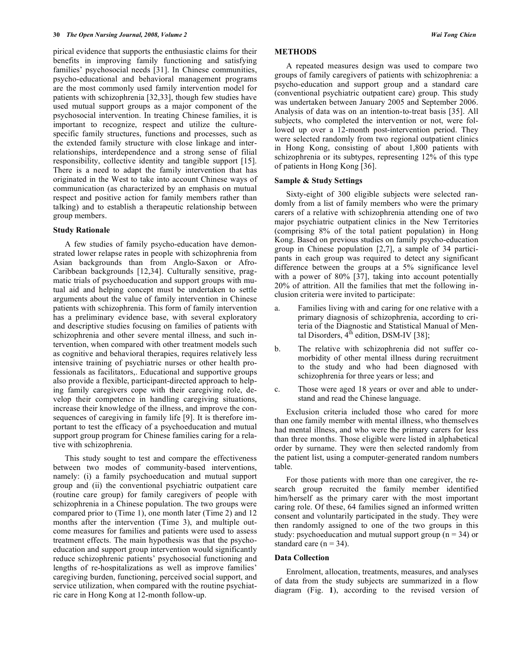pirical evidence that supports the enthusiastic claims for their benefits in improving family functioning and satisfying families' psychosocial needs [31]. In Chinese communities, psycho-educational and behavioral management programs are the most commonly used family intervention model for patients with schizophrenia [32,33], though few studies have used mutual support groups as a major component of the psychosocial intervention. In treating Chinese families, it is important to recognize, respect and utilize the culturespecific family structures, functions and processes, such as the extended family structure with close linkage and interrelationships, interdependence and a strong sense of filial responsibility, collective identity and tangible support [15]. There is a need to adapt the family intervention that has originated in the West to take into account Chinese ways of communication (as characterized by an emphasis on mutual respect and positive action for family members rather than talking) and to establish a therapeutic relationship between group members.

# **Study Rationale**

 A few studies of family psycho-education have demonstrated lower relapse rates in people with schizophrenia from Asian backgrounds than from Anglo-Saxon or Afro-Caribbean backgrounds [12,34]. Culturally sensitive, pragmatic trials of psychoeducation and support groups with mutual aid and helping concept must be undertaken to settle arguments about the value of family intervention in Chinese patients with schizophrenia. This form of family intervention has a preliminary evidence base, with several exploratory and descriptive studies focusing on families of patients with schizophrenia and other severe mental illness, and such intervention, when compared with other treatment models such as cognitive and behavioral therapies, requires relatively less intensive training of psychiatric nurses or other health professionals as facilitators,. Educational and supportive groups also provide a flexible, participant-directed approach to helping family caregivers cope with their caregiving role, develop their competence in handling caregiving situations, increase their knowledge of the illness, and improve the consequences of caregiving in family life [9]. It is therefore important to test the efficacy of a psychoeducation and mutual support group program for Chinese families caring for a relative with schizophrenia.

 This study sought to test and compare the effectiveness between two modes of community-based interventions, namely: (i) a family psychoeducation and mutual support group and (ii) the conventional psychiatric outpatient care (routine care group) for family caregivers of people with schizophrenia in a Chinese population. The two groups were compared prior to (Time 1), one month later (Time 2) and 12 months after the intervention (Time 3), and multiple outcome measures for families and patients were used to assess treatment effects. The main hypothesis was that the psychoeducation and support group intervention would significantly reduce schizophrenic patients' psychosocial functioning and lengths of re-hospitalizations as well as improve families' caregiving burden, functioning, perceived social support, and service utilization, when compared with the routine psychiatric care in Hong Kong at 12-month follow-up.

#### **METHODS**

 A repeated measures design was used to compare two groups of family caregivers of patients with schizophrenia: a psycho-education and support group and a standard care (conventional psychiatric outpatient care) group. This study was undertaken between January 2005 and September 2006. Analysis of data was on an intention-to-treat basis [35]. All subjects, who completed the intervention or not, were followed up over a 12-month post-intervention period. They were selected randomly from two regional outpatient clinics in Hong Kong, consisting of about 1,800 patients with schizophrenia or its subtypes, representing 12% of this type of patients in Hong Kong [36].

# **Sample & Study Settings**

 Sixty-eight of 300 eligible subjects were selected randomly from a list of family members who were the primary carers of a relative with schizophrenia attending one of two major psychiatric outpatient clinics in the New Territories (comprising 8% of the total patient population) in Hong Kong. Based on previous studies on family psycho-education group in Chinese population [2,7], a sample of 34 participants in each group was required to detect any significant difference between the groups at a 5% significance level with a power of 80% [37], taking into account potentially 20% of attrition. All the families that met the following inclusion criteria were invited to participate:

- a. Families living with and caring for one relative with a primary diagnosis of schizophrenia, according to criteria of the Diagnostic and Statistical Manual of Mental Disorders,  $4^{th}$  edition, DSM-IV [38];
- b. The relative with schizophrenia did not suffer comorbidity of other mental illness during recruitment to the study and who had been diagnosed with schizophrenia for three years or less; and
- c. Those were aged 18 years or over and able to understand and read the Chinese language.

 Exclusion criteria included those who cared for more than one family member with mental illness, who themselves had mental illness, and who were the primary carers for less than three months. Those eligible were listed in alphabetical order by surname. They were then selected randomly from the patient list, using a computer-generated random numbers table.

 For those patients with more than one caregiver, the research group recruited the family member identified him/herself as the primary carer with the most important caring role. Of these, 64 families signed an informed written consent and voluntarily participated in the study. They were then randomly assigned to one of the two groups in this study: psychoeducation and mutual support group ( $n = 34$ ) or standard care ( $n = 34$ ).

#### **Data Collection**

 Enrolment, allocation, treatments, measures, and analyses of data from the study subjects are summarized in a flow diagram (Fig. **1**), according to the revised version of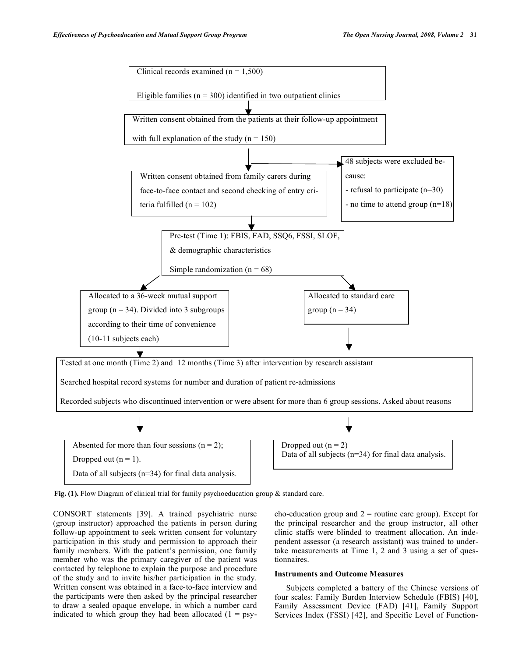

Fig. (1). Flow Diagram of clinical trial for family psychoeducation group & standard care.

CONSORT statements [39]. A trained psychiatric nurse (group instructor) approached the patients in person during follow-up appointment to seek written consent for voluntary participation in this study and permission to approach their family members. With the patient's permission, one family member who was the primary caregiver of the patient was contacted by telephone to explain the purpose and procedure of the study and to invite his/her participation in the study. Written consent was obtained in a face-to-face interview and the participants were then asked by the principal researcher to draw a sealed opaque envelope, in which a number card indicated to which group they had been allocated  $(1 = \text{psy} - \text{Cov})$ 

cho-education group and  $2$  = routine care group). Except for the principal researcher and the group instructor, all other clinic staffs were blinded to treatment allocation. An independent assessor (a research assistant) was trained to undertake measurements at Time 1, 2 and 3 using a set of questionnaires.

# **Instruments and Outcome Measures**

 Subjects completed a battery of the Chinese versions of four scales: Family Burden Interview Schedule (FBIS) [40], Family Assessment Device (FAD) [41], Family Support Services Index (FSSI) [42], and Specific Level of Function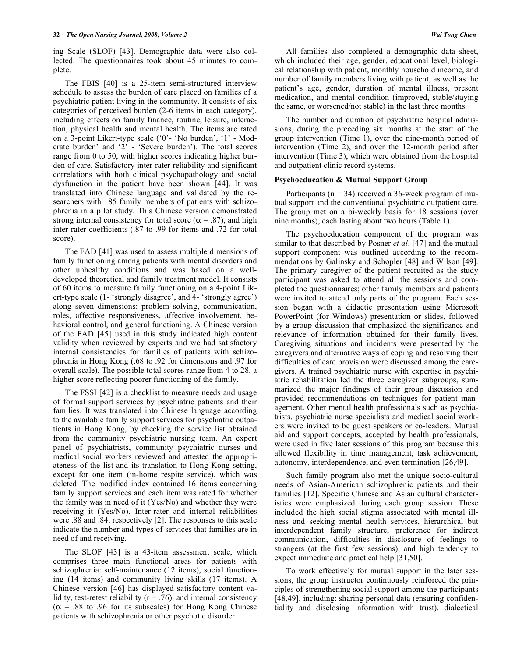ing Scale (SLOF) [43]. Demographic data were also collected. The questionnaires took about 45 minutes to complete.

 The FBIS [40] is a 25-item semi-structured interview schedule to assess the burden of care placed on families of a psychiatric patient living in the community. It consists of six categories of perceived burden (2-6 items in each category), including effects on family finance, routine, leisure, interaction, physical health and mental health. The items are rated on a 3-point Likert-type scale ('0'- 'No burden', '1' - Moderate burden' and '2' - 'Severe burden'). The total scores range from 0 to 50, with higher scores indicating higher burden of care. Satisfactory inter-rater reliability and significant correlations with both clinical psychopathology and social dysfunction in the patient have been shown [44]. It was translated into Chinese language and validated by the researchers with 185 family members of patients with schizophrenia in a pilot study. This Chinese version demonstrated strong internal consistency for total score ( $\alpha$  = .87), and high inter-rater coefficients (.87 to .99 for items and .72 for total score).

 The FAD [41] was used to assess multiple dimensions of family functioning among patients with mental disorders and other unhealthy conditions and was based on a welldeveloped theoretical and family treatment model. It consists of 60 items to measure family functioning on a 4-point Likert-type scale (1- 'strongly disagree', and 4- 'strongly agree') along seven dimensions: problem solving, communication, roles, affective responsiveness, affective involvement, behavioral control, and general functioning. A Chinese version of the FAD [45] used in this study indicated high content validity when reviewed by experts and we had satisfactory internal consistencies for families of patients with schizophrenia in Hong Kong (.68 to .92 for dimensions and .97 for overall scale). The possible total scores range from 4 to 28, a higher score reflecting poorer functioning of the family.

 The FSSI [42] is a checklist to measure needs and usage of formal support services by psychiatric patients and their families. It was translated into Chinese language according to the available family support services for psychiatric outpatients in Hong Kong, by checking the service list obtained from the community psychiatric nursing team. An expert panel of psychiatrists, community psychiatric nurses and medical social workers reviewed and attested the appropriateness of the list and its translation to Hong Kong setting, except for one item (in-home respite service), which was deleted. The modified index contained 16 items concerning family support services and each item was rated for whether the family was in need of it (Yes/No) and whether they were receiving it (Yes/No). Inter-rater and internal reliabilities were .88 and .84, respectively [2]. The responses to this scale indicate the number and types of services that families are in need of and receiving.

 The SLOF [43] is a 43-item assessment scale, which comprises three main functional areas for patients with schizophrenia: self-maintenance (12 items), social functioning (14 items) and community living skills (17 items). A Chinese version [46] has displayed satisfactory content validity, test-retest reliability ( $r = .76$ ), and internal consistency  $(\alpha = .88$  to .96 for its subscales) for Hong Kong Chinese patients with schizophrenia or other psychotic disorder.

 All families also completed a demographic data sheet, which included their age, gender, educational level, biological relationship with patient, monthly household income, and number of family members living with patient; as well as the patient's age, gender, duration of mental illness, present medication, and mental condition (improved, stable/staying the same, or worsened/not stable) in the last three months.

 The number and duration of psychiatric hospital admissions, during the preceding six months at the start of the group intervention (Time 1), over the nine-month period of intervention (Time 2), and over the 12-month period after intervention (Time 3), which were obtained from the hospital and outpatient clinic record systems.

#### **Psychoeducation & Mutual Support Group**

Participants ( $n = 34$ ) received a 36-week program of mutual support and the conventional psychiatric outpatient care. The group met on a bi-weekly basis for 18 sessions (over nine months), each lasting about two hours (Table **1**).

 The psychoeducation component of the program was similar to that described by Posner *et al*. [47] and the mutual support component was outlined according to the recommendations by Galinsky and Schopler [48] and Wilson [49]. The primary caregiver of the patient recruited as the study participant was asked to attend all the sessions and completed the questionnaires; other family members and patients were invited to attend only parts of the program. Each session began with a didactic presentation using Microsoft PowerPoint (for Windows) presentation or slides, followed by a group discussion that emphasized the significance and relevance of information obtained for their family lives. Caregiving situations and incidents were presented by the caregivers and alternative ways of coping and resolving their difficulties of care provision were discussed among the caregivers. A trained psychiatric nurse with expertise in psychiatric rehabilitation led the three caregiver subgroups, summarized the major findings of their group discussion and provided recommendations on techniques for patient management. Other mental health professionals such as psychiatrists, psychiatric nurse specialists and medical social workers were invited to be guest speakers or co-leaders. Mutual aid and support concepts, accepted by health professionals, were used in five later sessions of this program because this allowed flexibility in time management, task achievement, autonomy, interdependence, and even termination [26,49].

 Such family program also met the unique socio-cultural needs of Asian-American schizophrenic patients and their families [12]. Specific Chinese and Asian cultural characteristics were emphasized during each group session. These included the high social stigma associated with mental illness and seeking mental health services, hierarchical but interdependent family structure, preference for indirect communication, difficulties in disclosure of feelings to strangers (at the first few sessions), and high tendency to expect immediate and practical help [31,50].

 To work effectively for mutual support in the later sessions, the group instructor continuously reinforced the principles of strengthening social support among the participants [48,49], including: sharing personal data (ensuring confidentiality and disclosing information with trust), dialectical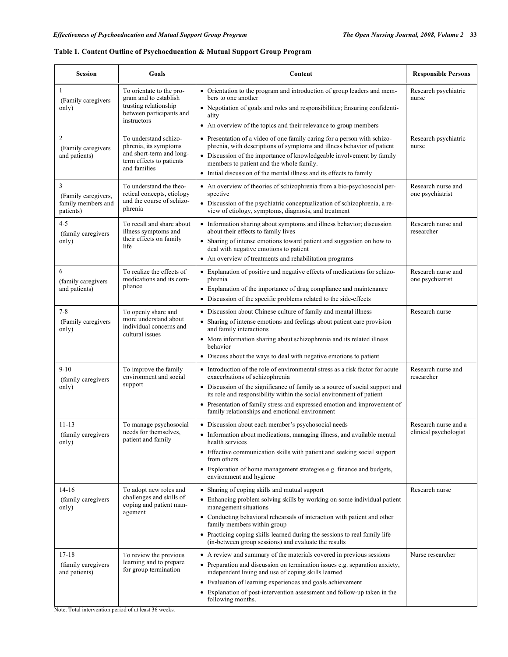# **Table 1. Content Outline of Psychoeducation & Mutual Support Group Program**

| <b>Session</b>                                              | Goals                                                                                                                  | Content                                                                                                                                                                                                                                                                                                                                                                                                             | <b>Responsible Persons</b>                    |
|-------------------------------------------------------------|------------------------------------------------------------------------------------------------------------------------|---------------------------------------------------------------------------------------------------------------------------------------------------------------------------------------------------------------------------------------------------------------------------------------------------------------------------------------------------------------------------------------------------------------------|-----------------------------------------------|
| 1<br>(Family caregivers)<br>only)                           | To orientate to the pro-<br>gram and to establish<br>trusting relationship<br>between participants and<br>instructors  | • Orientation to the program and introduction of group leaders and mem-<br>bers to one another<br>• Negotiation of goals and roles and responsibilities; Ensuring confidenti-<br>ality                                                                                                                                                                                                                              | Research psychiatric<br>nurse                 |
| $\mathfrak{2}$<br>(Family caregivers<br>and patients)       | To understand schizo-<br>phrenia, its symptoms<br>and short-term and long-<br>term effects to patients<br>and families | • An overview of the topics and their relevance to group members<br>• Presentation of a video of one family caring for a person with schizo-<br>phrenia, with descriptions of symptoms and illness behavior of patient<br>• Discussion of the importance of knowledgeable involvement by family<br>members to patient and the whole family.<br>• Initial discussion of the mental illness and its effects to family | Research psychiatric<br>nurse                 |
| 3<br>(Family caregivers,<br>family members and<br>patients) | To understand the theo-<br>retical concepts, etiology<br>and the course of schizo-<br>phrenia                          | • An overview of theories of schizophrenia from a bio-psychosocial per-<br>spective<br>• Discussion of the psychiatric conceptualization of schizophrenia, a re-<br>view of etiology, symptoms, diagnosis, and treatment                                                                                                                                                                                            | Research nurse and<br>one psychiatrist        |
| $4 - 5$<br>(family caregivers<br>only)                      | To recall and share about<br>illness symptoms and<br>their effects on family<br>life                                   | Research nurse and<br>researcher                                                                                                                                                                                                                                                                                                                                                                                    |                                               |
| 6<br>(family caregivers<br>and patients)                    | To realize the effects of<br>medications and its com-<br>pliance                                                       | • Explanation of positive and negative effects of medications for schizo-<br>phrenia<br>• Explanation of the importance of drug compliance and maintenance<br>• Discussion of the specific problems related to the side-effects                                                                                                                                                                                     | Research nurse and<br>one psychiatrist        |
| $7 - 8$<br>(Family caregivers<br>only)                      | To openly share and<br>more understand about<br>individual concerns and<br>cultural issues                             | • Discussion about Chinese culture of family and mental illness<br>• Sharing of intense emotions and feelings about patient care provision<br>and family interactions<br>• More information sharing about schizophrenia and its related illness<br>behavior<br>• Discuss about the ways to deal with negative emotions to patient                                                                                   | Research nurse                                |
| $9-10$<br>(family caregivers)<br>only)                      | To improve the family<br>environment and social<br>support                                                             | • Introduction of the role of environmental stress as a risk factor for acute<br>exacerbations of schizophrenia<br>• Discussion of the significance of family as a source of social support and<br>its role and responsibility within the social environment of patient<br>• Presentation of family stress and expressed emotion and improvement of<br>family relationships and emotional environment               | Research nurse and<br>researcher              |
| $11 - 13$<br>(family caregivers)<br>only)                   | To manage psychosocial<br>needs for themselves.<br>patient and family                                                  | • Discussion about each member's psychosocial needs<br>• Information about medications, managing illness, and available mental<br>health services<br>• Effective communication skills with patient and seeking social support<br>from others<br>• Exploration of home management strategies e.g. finance and budgets,<br>environment and hygiene                                                                    | Research nurse and a<br>clinical psychologist |
| $14-16$<br>(family caregivers<br>only)                      | To adopt new roles and<br>challenges and skills of<br>coping and patient man-<br>agement                               | • Sharing of coping skills and mutual support<br>• Enhancing problem solving skills by working on some individual patient<br>management situations<br>• Conducting behavioral rehearsals of interaction with patient and other<br>family members within group<br>• Practicing coping skills learned during the sessions to real family life<br>(in-between group sessions) and evaluate the results                 | Research nurse                                |
| $17 - 18$<br>(family caregivers)<br>and patients)           | To review the previous<br>learning and to prepare<br>for group termination                                             | • A review and summary of the materials covered in previous sessions<br>• Preparation and discussion on termination issues e.g. separation anxiety,<br>independent living and use of coping skills learned<br>• Evaluation of learning experiences and goals achievement<br>• Explanation of post-intervention assessment and follow-up taken in the<br>following months.                                           | Nurse researcher                              |

Note. Total intervention period of at least 36 weeks.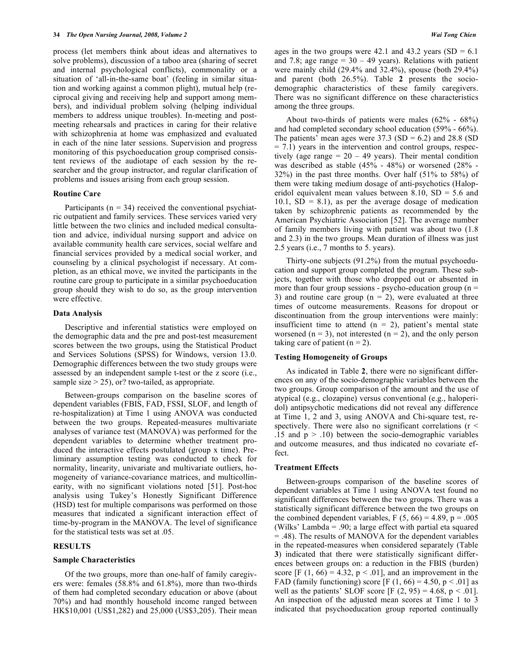process (let members think about ideas and alternatives to solve problems), discussion of a taboo area (sharing of secret and internal psychological conflicts), commonality or a situation of 'all-in-the-same boat' (feeling in similar situation and working against a common plight), mutual help (reciprocal giving and receiving help and support among members), and individual problem solving (helping individual members to address unique troubles). In-meeting and postmeeting rehearsals and practices in caring for their relative with schizophrenia at home was emphasized and evaluated in each of the nine later sessions. Supervision and progress monitoring of this psychoeducation group comprised consistent reviews of the audiotape of each session by the researcher and the group instructor, and regular clarification of problems and issues arising from each group session.

#### **Routine Care**

Participants ( $n = 34$ ) received the conventional psychiatric outpatient and family services. These services varied very little between the two clinics and included medical consultation and advice, individual nursing support and advice on available community health care services, social welfare and financial services provided by a medical social worker, and counseling by a clinical psychologist if necessary. At completion, as an ethical move, we invited the participants in the routine care group to participate in a similar psychoeducation group should they wish to do so, as the group intervention were effective.

## **Data Analysis**

 Descriptive and inferential statistics were employed on the demographic data and the pre and post-test measurement scores between the two groups, using the Statistical Product and Services Solutions (SPSS) for Windows, version 13.0. Demographic differences between the two study groups were assessed by an independent sample t-test or the z score (i.e., sample size  $> 25$ ), or? two-tailed, as appropriate.

 Between-groups comparison on the baseline scores of dependent variables (FBIS, FAD, FSSI, SLOF, and length of re-hospitalization) at Time 1 using ANOVA was conducted between the two groups. Repeated-measures multivariate analyses of variance test (MANOVA) was performed for the dependent variables to determine whether treatment produced the interactive effects postulated (group x time). Preliminary assumption testing was conducted to check for normality, linearity, univariate and multivariate outliers, homogeneity of variance-covariance matrices, and multicollinearity, with no significant violations noted [51]. Post-hoc analysis using Tukey's Honestly Significant Difference (HSD) test for multiple comparisons was performed on those measures that indicated a significant interaction effect of time-by-program in the MANOVA. The level of significance for the statistical tests was set at .05.

#### **RESULTS**

## **Sample Characteristics**

 Of the two groups, more than one-half of family caregivers were: females (58.8% and 61.8%), more than two-thirds of them had completed secondary education or above (about 70%) and had monthly household income ranged between HK\$10,001 (US\$1,282) and 25,000 (US\$3,205). Their mean

ages in the two groups were 42.1 and 43.2 years  $(SD = 6.1)$ and 7.8; age range  $= 30 - 49$  years). Relations with patient were mainly child (29.4% and 32.4%), spouse (both 29.4%) and parent (both 26.5%). Table **2** presents the sociodemographic characteristics of these family caregivers. There was no significant difference on these characteristics among the three groups.

 About two-thirds of patients were males (62% - 68%) and had completed secondary school education (59% - 66%). The patients' mean ages were  $37.3$  (SD = 6.2) and 28.8 (SD  $= 7.1$ ) years in the intervention and control groups, respectively (age range  $= 20 - 49$  years). Their mental condition was described as stable (45% - 48%) or worsened (28% - 32%) in the past three months. Over half (51% to 58%) of them were taking medium dosage of anti-psychotics (Haloperidol equivalent mean values between 8.10,  $SD = 5.6$  and  $10.1$ ,  $SD = 8.1$ ), as per the average dosage of medication taken by schizophrenic patients as recommended by the American Psychiatric Association [52]. The average number of family members living with patient was about two (1.8 and 2.3) in the two groups. Mean duration of illness was just 2.5 years (i.e., 7 months to 5. years).

 Thirty-one subjects (91.2%) from the mutual psychoeducation and support group completed the program. These subjects, together with those who dropped out or absented in more than four group sessions - psycho-education group  $(n =$ 3) and routine care group  $(n = 2)$ , were evaluated at three times of outcome measurements. Reasons for dropout or discontinuation from the group interventions were mainly: insufficient time to attend  $(n = 2)$ , patient's mental state worsened  $(n = 3)$ , not interested  $(n = 2)$ , and the only person taking care of patient  $(n = 2)$ .

# **Testing Homogeneity of Groups**

 As indicated in Table **2**, there were no significant differences on any of the socio-demographic variables between the two groups. Group comparison of the amount and the use of atypical (e.g., clozapine) versus conventional (e.g., haloperidol) antipsychotic medications did not reveal any difference at Time 1, 2 and 3, using ANOVA and Chi-square test, respectively. There were also no significant correlations ( $r <$ .15 and  $p > .10$ ) between the socio-demographic variables and outcome measures, and thus indicated no covariate effect.

#### **Treatment Effects**

 Between-groups comparison of the baseline scores of dependent variables at Time 1 using ANOVA test found no significant differences between the two groups. There was a statistically significant difference between the two groups on the combined dependent variables,  $F(5, 66) = 4.89$ ,  $p = .005$ (Wilks' Lambda = .90; a large effect with partial eta squared = .48). The results of MANOVA for the dependent variables in the repeated-measures when considered separately (Table **3**) indicated that there were statistically significant differences between groups on: a reduction in the FBIS (burden) score [F  $(1, 66) = 4.32$ ,  $p < .01$ ], and an improvement in the FAD (family functioning) score [F  $(1, 66) = 4.50$ , p < .01] as well as the patients' SLOF score  $[F (2, 95) = 4.68, p < .01]$ . An inspection of the adjusted mean scores at Time 1 to 3 indicated that psychoeducation group reported continually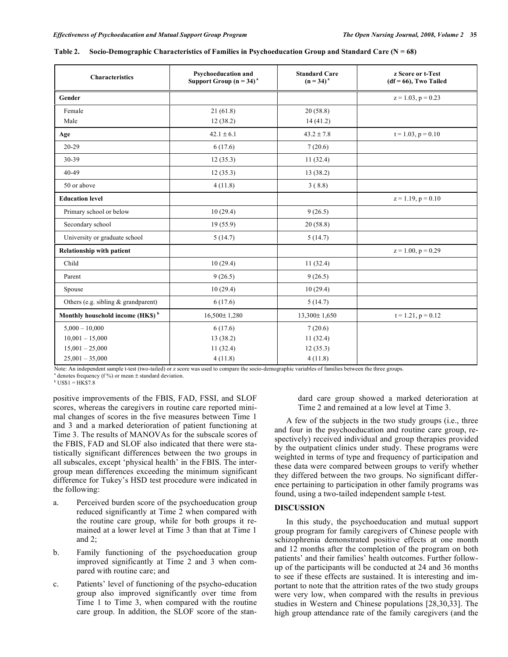| <b>Characteristics</b>                       | Psychoeducation and<br>Support Group $(n = 34)^n$ | <b>Standard Care</b><br>$(n = 34)^{a}$ | z Score or t-Test<br>$(df = 66)$ , Two Tailed |  |  |
|----------------------------------------------|---------------------------------------------------|----------------------------------------|-----------------------------------------------|--|--|
| Gender                                       |                                                   |                                        | $z = 1.03$ , $p = 0.23$                       |  |  |
| Female                                       | 21(61.8)                                          | 20(58.8)                               |                                               |  |  |
| Male                                         | 12(38.2)                                          | 14(41.2)                               |                                               |  |  |
| Age                                          | $42.1 \pm 6.1$                                    | $43.2 \pm 7.8$                         | $t = 1.03$ , $p = 0.10$                       |  |  |
| $20 - 29$                                    | 6(17.6)                                           | 7(20.6)                                |                                               |  |  |
| 30-39                                        | 12(35.3)                                          | 11(32.4)                               |                                               |  |  |
| $40 - 49$                                    | 12(35.3)                                          | 13 (38.2)                              |                                               |  |  |
| 50 or above                                  | 4(11.8)                                           | 3(8.8)                                 |                                               |  |  |
| <b>Education level</b>                       |                                                   |                                        | $z = 1.19$ , $p = 0.10$                       |  |  |
| Primary school or below                      | 10(29.4)                                          | 9(26.5)                                |                                               |  |  |
| Secondary school                             | 19(55.9)                                          | 20(58.8)                               |                                               |  |  |
| University or graduate school                | 5(14.7)                                           | 5(14.7)                                |                                               |  |  |
| <b>Relationship with patient</b>             |                                                   |                                        | $z = 1.00$ , $p = 0.29$                       |  |  |
| Child                                        | 10(29.4)                                          | 11(32.4)                               |                                               |  |  |
| Parent                                       | 9(26.5)                                           | 9(26.5)                                |                                               |  |  |
| Spouse                                       | 10(29.4)                                          | 10(29.4)                               |                                               |  |  |
| Others (e.g. sibling & grandparent)          | 6(17.6)                                           | 5(14.7)                                |                                               |  |  |
| Monthly household income (HK\$) <sup>b</sup> | $16,500 \pm 1,280$                                | $13,300 \pm 1,650$                     | $t = 1.21$ , $p = 0.12$                       |  |  |
| $5,000 - 10,000$                             | 6(17.6)                                           | 7(20.6)                                |                                               |  |  |
| $10,001 - 15,000$                            | 13 (38.2)                                         | 11(32.4)                               |                                               |  |  |
| $15,001 - 25,000$                            | 11(32.4)                                          | 12(35.3)                               |                                               |  |  |
| $25,001 - 35,000$                            | 4(11.8)                                           | 4(11.8)                                |                                               |  |  |

| Table 2. Socio-Demographic Characteristics of Families in Psychoeducation Group and Standard Care $(N = 68)$ |  |  |  |
|--------------------------------------------------------------------------------------------------------------|--|--|--|
|                                                                                                              |  |  |  |

Note: An independent sample t-test (two-tailed) or z score was used to compare the socio-demographic variables of families between the three groups.

 $^{\circ}$  denotes frequency (f%) or mean  $\pm$  standard deviation.

 $<sup>b</sup>$  US\$1 = HK\$7.8</sup>

positive improvements of the FBIS, FAD, FSSI, and SLOF scores, whereas the caregivers in routine care reported minimal changes of scores in the five measures between Time 1 and 3 and a marked deterioration of patient functioning at Time 3. The results of MANOVAs for the subscale scores of the FBIS, FAD and SLOF also indicated that there were statistically significant differences between the two groups in all subscales, except 'physical health' in the FBIS. The intergroup mean differences exceeding the minimum significant difference for Tukey's HSD test procedure were indicated in the following:

- a. Perceived burden score of the psychoeducation group reduced significantly at Time 2 when compared with the routine care group, while for both groups it remained at a lower level at Time 3 than that at Time 1 and 2;
- b. Family functioning of the psychoeducation group improved significantly at Time 2 and 3 when compared with routine care; and
- c. Patients' level of functioning of the psycho-education group also improved significantly over time from Time 1 to Time 3, when compared with the routine care group. In addition, the SLOF score of the stan-

dard care group showed a marked deterioration at Time 2 and remained at a low level at Time 3.

 A few of the subjects in the two study groups (i.e., three and four in the psychoeducation and routine care group, respectively) received individual and group therapies provided by the outpatient clinics under study. These programs were weighted in terms of type and frequency of participation and these data were compared between groups to verify whether they differed between the two groups. No significant difference pertaining to participation in other family programs was found, using a two-tailed independent sample t-test.

#### **DISCUSSION**

 In this study, the psychoeducation and mutual support group program for family caregivers of Chinese people with schizophrenia demonstrated positive effects at one month and 12 months after the completion of the program on both patients' and their families' health outcomes. Further followup of the participants will be conducted at 24 and 36 months to see if these effects are sustained. It is interesting and important to note that the attrition rates of the two study groups were very low, when compared with the results in previous studies in Western and Chinese populations [28,30,33]. The high group attendance rate of the family caregivers (and the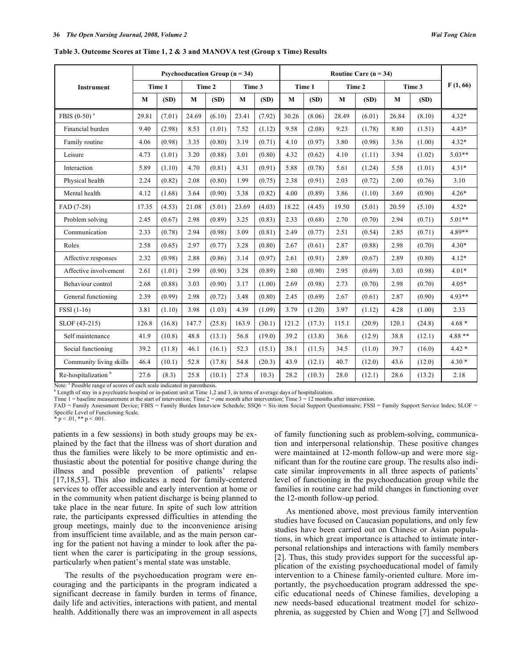|                                 | <b>Psychoeducation Group (<math>n = 34</math>)</b> |        |        |        |          | Routine Care $(n = 34)$ |        |        |        |        |        |        |          |
|---------------------------------|----------------------------------------------------|--------|--------|--------|----------|-------------------------|--------|--------|--------|--------|--------|--------|----------|
| <b>Instrument</b>               | Time 1                                             |        | Time 2 |        | Time 3   |                         | Time 1 |        | Time 2 |        | Time 3 |        | F(1, 66) |
|                                 | M                                                  | (SD)   | M      | (SD)   | $\bf{M}$ | (SD)                    | M      | (SD)   | M      | (SD)   | M      | (SD)   |          |
| FBIS $(0-50)^a$                 | 29.81                                              | (7.01) | 24.69  | (6.10) | 23.41    | (7.92)                  | 30.26  | (8.06) | 28.49  | (6.01) | 26.84  | (8.10) | $4.32*$  |
| Financial burden                | 9.40                                               | (2.98) | 8.53   | (1.01) | 7.52     | (1.12)                  | 9.58   | (2.08) | 9.23   | (1.78) | 8.80   | (1.51) | $4.43*$  |
| Family routine                  | 4.06                                               | (0.98) | 3.35   | (0.80) | 3.19     | (0.71)                  | 4.10   | (0.97) | 3.80   | (0.98) | 3.56   | (1.00) | $4.32*$  |
| Leisure                         | 4.73                                               | (1.01) | 3.20   | (0.88) | 3.01     | (0.80)                  | 4.32   | (0.62) | 4.10   | (1.11) | 3.94   | (1.02) | $5.03**$ |
| Interaction                     | 5.89                                               | (1.10) | 4.70   | (0.81) | 4.31     | (0.91)                  | 5.88   | (0.78) | 5.61   | (1.24) | 5.58   | (1.01) | $4.31*$  |
| Physical health                 | 2.24                                               | (0.82) | 2.08   | (0.80) | 1.99     | (0.75)                  | 2.38   | (0.91) | 2.03   | (0.72) | 2.00   | (0.76) | 3.10     |
| Mental health                   | 4.12                                               | (1.68) | 3.64   | (0.90) | 3.38     | (0.82)                  | 4.00   | (0.89) | 3.86   | (1.10) | 3.69   | (0.90) | $4.26*$  |
| FAD (7-28)                      | 17.35                                              | (4.53) | 21.08  | (5.01) | 23.69    | (4.03)                  | 18.22  | (4.45) | 19.50  | (5.01) | 20.59  | (5.10) | $4.52*$  |
| Problem solving                 | 2.45                                               | (0.67) | 2.98   | (0.89) | 3.25     | (0.83)                  | 2.33   | (0.68) | 2.70   | (0.70) | 2.94   | (0.71) | $5.01**$ |
| Communication                   | 2.33                                               | (0.78) | 2.94   | (0.98) | 3.09     | (0.81)                  | 2.49   | (0.77) | 2.51   | (0.54) | 2.85   | (0.71) | 4.89**   |
| Roles                           | 2.58                                               | (0.65) | 2.97   | (0.77) | 3.28     | (0.80)                  | 2.67   | (0.61) | 2.87   | (0.88) | 2.98   | (0.70) | $4.30*$  |
| Affective responses             | 2.32                                               | (0.98) | 2.88   | (0.86) | 3.14     | (0.97)                  | 2.61   | (0.91) | 2.89   | (0.67) | 2.89   | (0.80) | $4.12*$  |
| Affective involvement           | 2.61                                               | (1.01) | 2.99   | (0.90) | 3.28     | (0.89)                  | 2.80   | (0.90) | 2.95   | (0.69) | 3.03   | (0.98) | $4.01*$  |
| Behaviour control               | 2.68                                               | (0.88) | 3.03   | (0.90) | 3.17     | (1.00)                  | 2.69   | (0.98) | 2.73   | (0.70) | 2.98   | (0.70) | $4.05*$  |
| General functioning             | 2.39                                               | (0.99) | 2.98   | (0.72) | 3.48     | (0.80)                  | 2.45   | (0.69) | 2.67   | (0.61) | 2.87   | (0.90) | $4.93**$ |
| FSSI (1-16)                     | 3.81                                               | (1.10) | 3.98   | (1.03) | 4.39     | (1.09)                  | 3.79   | (1.20) | 3.97   | (1.12) | 4.28   | (1.00) | 2.33     |
| SLOF (43-215)                   | 126.8                                              | (16.8) | 147.7  | (25.8) | 163.9    | (30.1)                  | 121.2  | (17.3) | 115.1  | (20.9) | 120.1  | (24.8) | $4.68*$  |
| Self maintenance                | 41.9                                               | (10.8) | 48.8   | (13.1) | 56.8     | (19.0)                  | 39.2   | (13.8) | 36.6   | (12.9) | 38.8   | (12.1) | $4.88**$ |
| Social functioning              | 39.2                                               | (11.8) | 46.1   | (16.1) | 52.3     | (15.1)                  | 38.1   | (11.5) | 34.5   | (11.0) | 39.7   | (16.0) | $4.42*$  |
| Community living skills         | 46.4                                               | (10.1) | 52.8   | (17.8) | 54.8     | (20.3)                  | 43.9   | (12.1) | 40.7   | (12.0) | 43.6   | (12.0) | $4.30*$  |
| Re-hospitalization <sup>b</sup> | 27.6                                               | (8.3)  | 25.8   | (10.1) | 27.8     | 10.3)                   | 28.2   | (10.3) | 28.0   | (12.1) | 28.6   | (13.2) | 2.18     |

**Table 3. Outcome Scores at Time 1, 2 & 3 and MANOVA test (Group x Time) Results** 

Note:  $a^b$  Possible range of scores of each scale indicated in parenthesis.

 $\rm^b$  Length of stay in a psychiatric hospital or in-patient unit at Time 1,2 and 3, in terms of average days of hospitalization.

Time 1 = baseline measurement at the start of intervention; Time 2 = one month after intervention; Time 3 = 12 months after intervention.

FAD = Family Assessment Device; FBIS = Family Burden Interview Schedule; SSQ6 = Six-item Social Support Questionnaire; FSSI = Family Support Service Index; SLOF = Specific Level of Functioning Scale.

\*  $p < .01$ , \*\*  $p < .001$ .

patients in a few sessions) in both study groups may be explained by the fact that the illness was of short duration and thus the families were likely to be more optimistic and enthusiastic about the potential for positive change during the illness and possible prevention of patients' relapse [17,18,53]. This also indicates a need for family-centered services to offer accessible and early intervention at home or in the community when patient discharge is being planned to take place in the near future. In spite of such low attrition rate, the participants expressed difficulties in attending the group meetings, mainly due to the inconvenience arising from insufficient time available, and as the main person caring for the patient not having a minder to look after the patient when the carer is participating in the group sessions, particularly when patient's mental state was unstable.

 The results of the psychoeducation program were encouraging and the participants in the program indicated a significant decrease in family burden in terms of finance, daily life and activities, interactions with patient, and mental health. Additionally there was an improvement in all aspects

of family functioning such as problem-solving, communication and interpersonal relationship. These positive changes were maintained at 12-month follow-up and were more significant than for the routine care group. The results also indicate similar improvements in all three aspects of patients' level of functioning in the psychoeducation group while the families in routine care had mild changes in functioning over the 12-month follow-up period.

 As mentioned above, most previous family intervention studies have focused on Caucasian populations, and only few studies have been carried out on Chinese or Asian populations, in which great importance is attached to intimate interpersonal relationships and interactions with family members [2]. Thus, this study provides support for the successful application of the existing psychoeducational model of family intervention to a Chinese family-oriented culture. More importantly, the psychoeducation program addressed the specific educational needs of Chinese families, developing a new needs-based educational treatment model for schizophrenia, as suggested by Chien and Wong [7] and Sellwood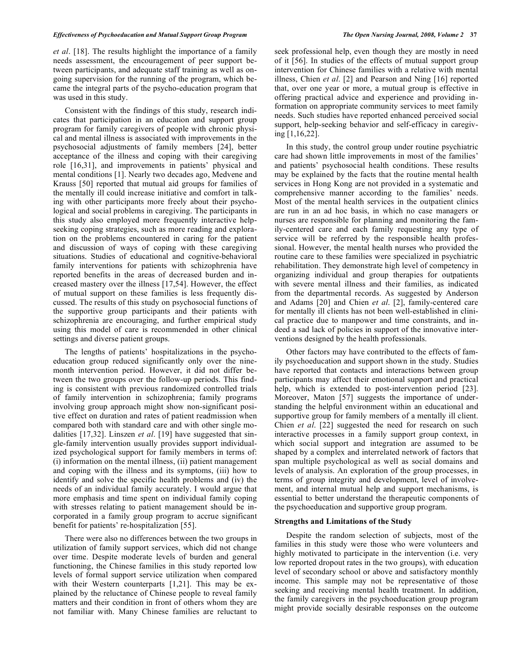#### *Effectiveness of Psychoeducation and Mutual Support Group Program The Open Nursing Journal, 2008, Volume 2* **37**

*et al*. [18]. The results highlight the importance of a family needs assessment, the encouragement of peer support between participants, and adequate staff training as well as ongoing supervision for the running of the program, which became the integral parts of the psycho-education program that was used in this study.

 Consistent with the findings of this study, research indicates that participation in an education and support group program for family caregivers of people with chronic physical and mental illness is associated with improvements in the psychosocial adjustments of family members [24], better acceptance of the illness and coping with their caregiving role [16,31], and improvements in patients' physical and mental conditions [1]. Nearly two decades ago, Medvene and Krauss [50] reported that mutual aid groups for families of the mentally ill could increase initiative and comfort in talking with other participants more freely about their psychological and social problems in caregiving. The participants in this study also employed more frequently interactive helpseeking coping strategies, such as more reading and exploration on the problems encountered in caring for the patient and discussion of ways of coping with these caregiving situations. Studies of educational and cognitive-behavioral family interventions for patients with schizophrenia have reported benefits in the areas of decreased burden and increased mastery over the illness [17,54]. However, the effect of mutual support on these families is less frequently discussed. The results of this study on psychosocial functions of the supportive group participants and their patients with schizophrenia are encouraging, and further empirical study using this model of care is recommended in other clinical settings and diverse patient groups.

 The lengths of patients' hospitalizations in the psychoeducation group reduced significantly only over the ninemonth intervention period. However, it did not differ between the two groups over the follow-up periods. This finding is consistent with previous randomized controlled trials of family intervention in schizophrenia; family programs involving group approach might show non-significant positive effect on duration and rates of patient readmission when compared both with standard care and with other single modalities [17,32]. Linszen *et al*. [19] have suggested that single-family intervention usually provides support individualized psychological support for family members in terms of: (i) information on the mental illness, (ii) patient management and coping with the illness and its symptoms, (iii) how to identify and solve the specific health problems and (iv) the needs of an individual family accurately. I would argue that more emphasis and time spent on individual family coping with stresses relating to patient management should be incorporated in a family group program to accrue significant benefit for patients' re-hospitalization [55].

 There were also no differences between the two groups in utilization of family support services, which did not change over time. Despite moderate levels of burden and general functioning, the Chinese families in this study reported low levels of formal support service utilization when compared with their Western counterparts [1,21]. This may be explained by the reluctance of Chinese people to reveal family matters and their condition in front of others whom they are not familiar with. Many Chinese families are reluctant to

of it [56]. In studies of the effects of mutual support group intervention for Chinese families with a relative with mental illness, Chien *et al*. [2] and Pearson and Ning [16] reported that, over one year or more, a mutual group is effective in offering practical advice and experience and providing information on appropriate community services to meet family needs. Such studies have reported enhanced perceived social support, help-seeking behavior and self-efficacy in caregiving [1,16,22].

 In this study, the control group under routine psychiatric care had shown little improvements in most of the families' and patients' psychosocial health conditions. These results may be explained by the facts that the routine mental health services in Hong Kong are not provided in a systematic and comprehensive manner according to the families' needs. Most of the mental health services in the outpatient clinics are run in an ad hoc basis, in which no case managers or nurses are responsible for planning and monitoring the family-centered care and each family requesting any type of service will be referred by the responsible health professional. However, the mental health nurses who provided the routine care to these families were specialized in psychiatric rehabilitation. They demonstrate high level of competency in organizing individual and group therapies for outpatients with severe mental illness and their families, as indicated from the departmental records. As suggested by Anderson and Adams [20] and Chien *et al*. [2], family-centered care for mentally ill clients has not been well-established in clinical practice due to manpower and time constraints, and indeed a sad lack of policies in support of the innovative interventions designed by the health professionals.

 Other factors may have contributed to the effects of family psychoeducation and support shown in the study. Studies have reported that contacts and interactions between group participants may affect their emotional support and practical help, which is extended to post-intervention period [23]. Moreover, Maton [57] suggests the importance of understanding the helpful environment within an educational and supportive group for family members of a mentally ill client. Chien *et al*. [22] suggested the need for research on such interactive processes in a family support group context, in which social support and integration are assumed to be shaped by a complex and interrelated network of factors that span multiple psychological as well as social domains and levels of analysis. An exploration of the group processes, in terms of group integrity and development, level of involvement, and internal mutual help and support mechanisms, is essential to better understand the therapeutic components of the psychoeducation and supportive group program.

# **Strengths and Limitations of the Study**

 Despite the random selection of subjects, most of the families in this study were those who were volunteers and highly motivated to participate in the intervention *(i.e. very* low reported dropout rates in the two groups), with education level of secondary school or above and satisfactory monthly income. This sample may not be representative of those seeking and receiving mental health treatment. In addition, the family caregivers in the psychoeducation group program might provide socially desirable responses on the outcome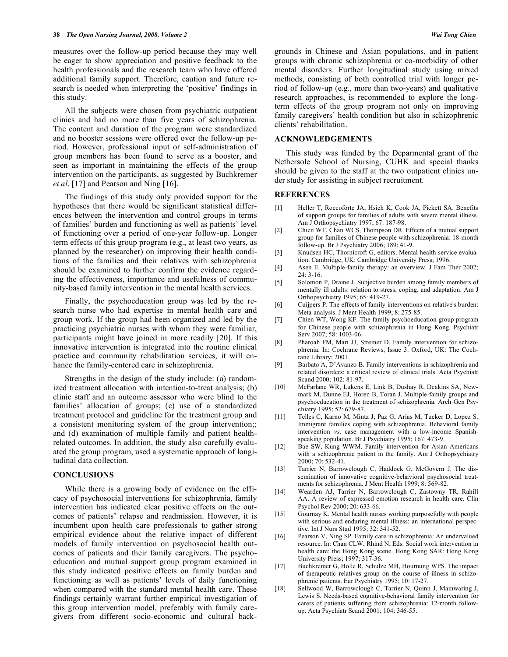measures over the follow-up period because they may well be eager to show appreciation and positive feedback to the health professionals and the research team who have offered additional family support. Therefore, caution and future research is needed when interpreting the 'positive' findings in this study.

 All the subjects were chosen from psychiatric outpatient clinics and had no more than five years of schizophrenia. The content and duration of the program were standardized and no booster sessions were offered over the follow-up period. However, professional input or self-administration of group members has been found to serve as a booster, and seen as important in maintaining the effects of the group intervention on the participants, as suggested by Buchkremer *et al*. [17] and Pearson and Ning [16].

 The findings of this study only provided support for the hypotheses that there would be significant statistical differences between the intervention and control groups in terms of families' burden and functioning as well as patients' level of functioning over a period of one-year follow-up. Longer term effects of this group program (e.g., at least two years, as planned by the researcher) on improving their health conditions of the families and their relatives with schizophrenia should be examined to further confirm the evidence regarding the effectiveness, importance and usefulness of community-based family intervention in the mental health services.

 Finally, the psychoeducation group was led by the research nurse who had expertise in mental health care and group work. If the group had been organized and led by the practicing psychiatric nurses with whom they were familiar, participants might have joined in more readily [20]. If this innovative intervention is integrated into the routine clinical practice and community rehabilitation services, it will enhance the family-centered care in schizophrenia.

 Strengths in the design of the study include: (a) randomized treatment allocation with intention-to-treat analysis; (b) clinic staff and an outcome assessor who were blind to the families' allocation of groups; (c) use of a standardized treatment protocol and guideline for the treatment group and a consistent monitoring system of the group intervention;; and (d) examination of multiple family and patient healthrelated outcomes. In addition, the study also carefully evaluated the group program, used a systematic approach of longitudinal data collection.

#### **CONCLUSIONS**

 While there is a growing body of evidence on the efficacy of psychosocial interventions for schizophrenia, family intervention has indicated clear positive effects on the outcomes of patients' relapse and readmission. However, it is incumbent upon health care professionals to gather strong empirical evidence about the relative impact of different models of family intervention on psychosocial health outcomes of patients and their family caregivers. The psychoeducation and mutual support group program examined in this study indicated positive effects on family burden and functioning as well as patients' levels of daily functioning when compared with the standard mental health care. These findings certainly warrant further empirical investigation of this group intervention model, preferably with family caregivers from different socio-economic and cultural backgrounds in Chinese and Asian populations, and in patient groups with chronic schizophrenia or co-morbidity of other mental disorders. Further longitudinal study using mixed methods, consisting of both controlled trial with longer period of follow-up (e.g., more than two-years) and qualitative research approaches, is recommended to explore the longterm effects of the group program not only on improving family caregivers' health condition but also in schizophrenic clients' rehabilitation.

# **ACKNOWLEDGEMENTS**

This study was funded by the Deparmental grant of the Nethersole School of Nursing, CUHK and special thanks should be given to the staff at the two outpatient clinics under study for assisting in subject recruitment.

#### **REFERENCES**

- [1] Heller T, Roccoforte JA, Hsieh K, Cook JA, Pickett SA. Benefits of support groups for families of adults with severe mental illness. Am J Orthopsychiatry 1997; 67: 187-98.
- [2] Chien WT, Chan WCS, Thompson DR. Effects of a mutual support group for families of Chinese people with schizophrenia: 18-month follow-up. Br J Psychiatry 2006; 189: 41-9.
- [3] Knudsen HC, Thornicroft G, editors. Mental health service evaluation. Cambridge, UK: Cambridge University Press; 1996.
- [4] Asen E. Multiple-family therapy: an overview. J Fam Ther 2002;  $24: 3-16.$
- [5] Solomon P, Draine J. Subjective burden among family members of mentally ill adults: relation to stress, coping, and adaptation. Am J Orthopsychiatry 1995; 65: 419-27.
- [6] Cuijpers P. The effects of family interventions on relative's burden: Meta-analysis. J Ment Health 1999; 8: 275-85.
- [7] Chien WT, Wong KF. The family psychoeducation group program for Chinese people with schizophrenia in Hong Kong. Psychiatr Serv 2007; 58: 1003-06.
- [8] Pharoah FM, Mari JJ, Streiner D. Family intervention for schizophrenia. In: Cochrane Reviews, Issue 3. Oxford, UK: The Cochrane Library; 2001.
- [9] Barbato A, D'Avanzo B. Family interventions in schizophrenia and related disorders: a critical review of clinical trials. Acta Psychiatr Scand 2000; 102: 81-97.
- [10] McFarlane WR, Lukens E, Link B, Dushay R, Deakins SA, Newmark M, Dunne EJ, Horen B, Toran J. Multiple-family groups and psychoeducation in the treatment of schizophrenia. Arch Gen Psychiatry 1995; 52: 679-87.
- [11] Telles C, Karno M, Mintz J, Paz G, Arias M, Tucker D, Lopez S. Immigrant families coping with schizophrenia. Behavioral family intervention *vs*. case management with a low-income Spanishspeaking population. Br J Psychiatry 1995; 167: 473-9.
- [12] Bae SW, Kung WWM. Family intervention for Asian Americans with a schizophrenic patient in the family. Am J Orthopsychiatry 2000; 70: 532-41.
- [13] Tarrier N, Barrowclough C, Haddock G, McGovern J. The dissemination of innovative cognitive-behavioral psychosocial treatments for schizophrenia. J Ment Health 1999; 8: 569-82.
- [14] Wearden AJ, Tarrier N, Barrowclough C, Zastowny TR, Rahill AA. A review of expressed emotion research in health care. Clin Psychol Rev 2000; 20: 633-66.
- [15] Gournay K. Mental health nurses working purposefully with people with serious and enduring mental illness: an international perspective. Int J Nurs Stud 1995; 32: 341-52.
- [16] Pearson V, Ning SP. Family care in schizophrenia: An undervalued resource. In: Chan CLW, Rhind N, Eds. Social work intervention in health care: the Hong Kong scene. Hong Kong SAR: Hong Kong University Press; 1997; 317-36.
- [17] Buchkremer G, Holle R, Schulze MH, Hournung WPS. The impact of therapeutic relatives group on the course of illness in schizophrenic patients. Eur Psychiatry 1995; 10: 17-27.
- [18] Sellwood W, Barrowclough C, Tarrier N, Quinn J, Mainwaring J, Lewis S. Needs-based cognitive-behavioral family intervention for carers of patients suffering from schizophrenia: 12-month followup. Acta Psychiatr Scand 2001; 104: 346-55.